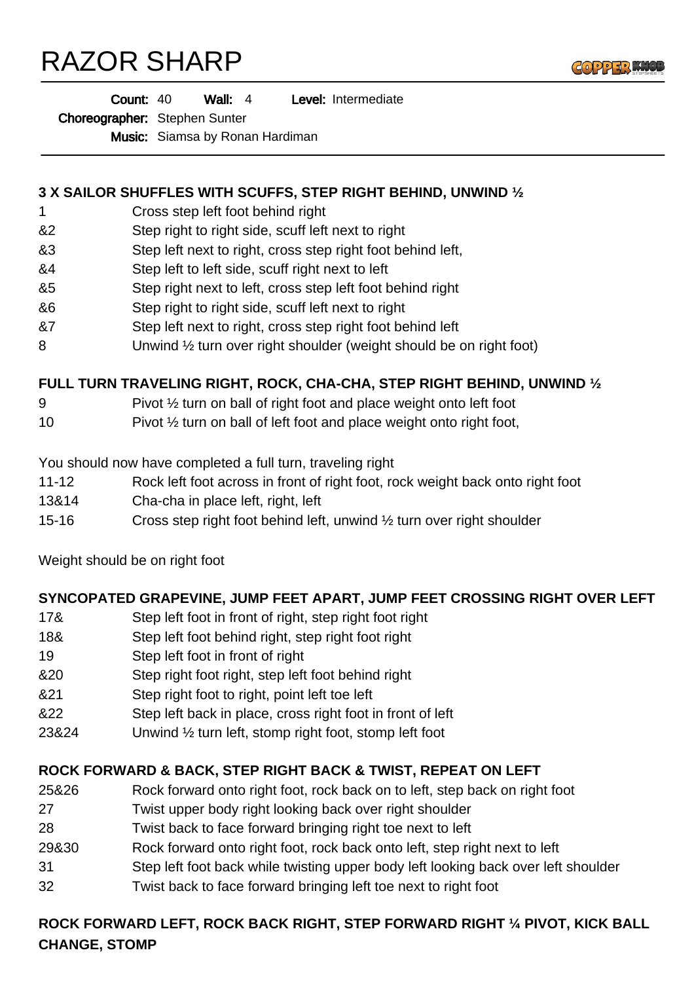# RAZOR SHARP



Choreographer: Stephen Sunter

Music: Siamsa by Ronan Hardiman

### **3 X SAILOR SHUFFLES WITH SCUFFS, STEP RIGHT BEHIND, UNWIND ½**

- 1 Cross step left foot behind right
- &2 Step right to right side, scuff left next to right
- &3 Step left next to right, cross step right foot behind left,
- &4 Step left to left side, scuff right next to left
- &5 Step right next to left, cross step left foot behind right
- &6 Step right to right side, scuff left next to right
- &7 Step left next to right, cross step right foot behind left
- 8 Unwind 1/2 turn over right shoulder (weight should be on right foot)

### **FULL TURN TRAVELING RIGHT, ROCK, CHA-CHA, STEP RIGHT BEHIND, UNWIND ½**

- 9 Pivot ½ turn on ball of right foot and place weight onto left foot
- 10 Pivot 1/2 turn on ball of left foot and place weight onto right foot,

You should now have completed a full turn, traveling right

- 11-12 Rock left foot across in front of right foot, rock weight back onto right foot
- 13&14 Cha-cha in place left, right, left
- 15-16 Cross step right foot behind left, unwind ½ turn over right shoulder

Weight should be on right foot

### **SYNCOPATED GRAPEVINE, JUMP FEET APART, JUMP FEET CROSSING RIGHT OVER LEFT**

- 17& Step left foot in front of right, step right foot right
- 18& Step left foot behind right, step right foot right
- 19 Step left foot in front of right
- &20 Step right foot right, step left foot behind right
- &21 Step right foot to right, point left toe left
- &22 Step left back in place, cross right foot in front of left
- 23&24 Unwind ½ turn left, stomp right foot, stomp left foot

## **ROCK FORWARD & BACK, STEP RIGHT BACK & TWIST, REPEAT ON LEFT**

- 25&26 Rock forward onto right foot, rock back on to left, step back on right foot
- 27 Twist upper body right looking back over right shoulder
- 28 Twist back to face forward bringing right toe next to left
- 29&30 Rock forward onto right foot, rock back onto left, step right next to left
- 31 Step left foot back while twisting upper body left looking back over left shoulder
- 32 Twist back to face forward bringing left toe next to right foot

## **ROCK FORWARD LEFT, ROCK BACK RIGHT, STEP FORWARD RIGHT ¼ PIVOT, KICK BALL CHANGE, STOMP**